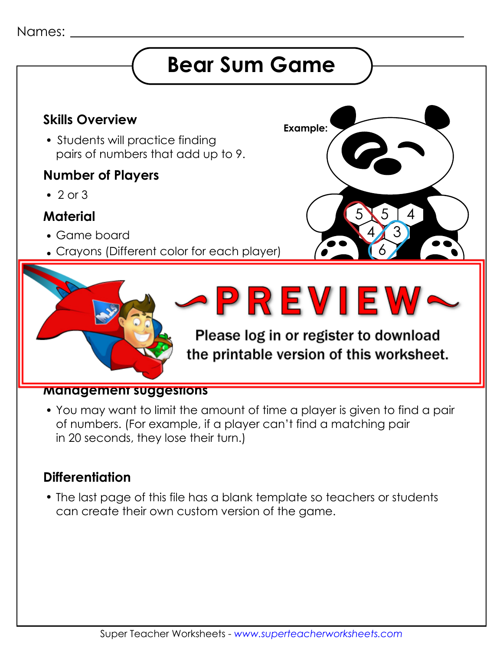#### Names:

# **Bear Sum Game**

## **Example: Skills Overview**

• Students will practice finding pairs of numbers that add up to 9.

### **Number of Players**

 $\cdot$  2 or 3

### **Material**

- Game board
- Crayons (Different color for each player)



5

3

4

5

6

4

#### **Management suggestions**

 You may want to limit the amount of time a player is given to find a pair of numbers. (For example, if a player can't find a matching pair in 20 seconds, they lose their turn.)

### **Differentiation**

 The last page of this file has a blank template so teachers or students can create their own custom version of the game.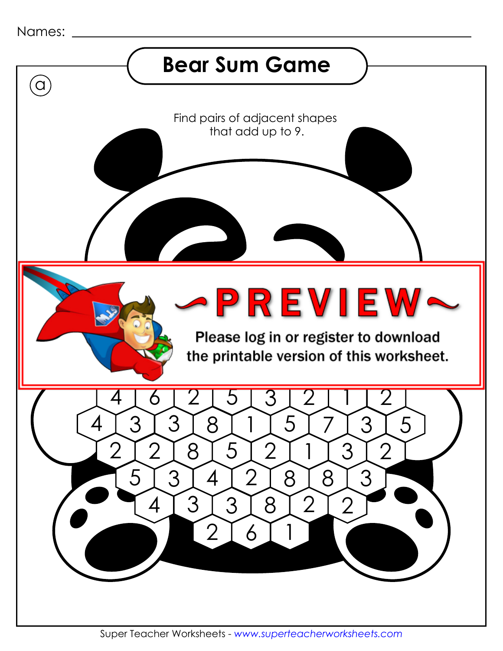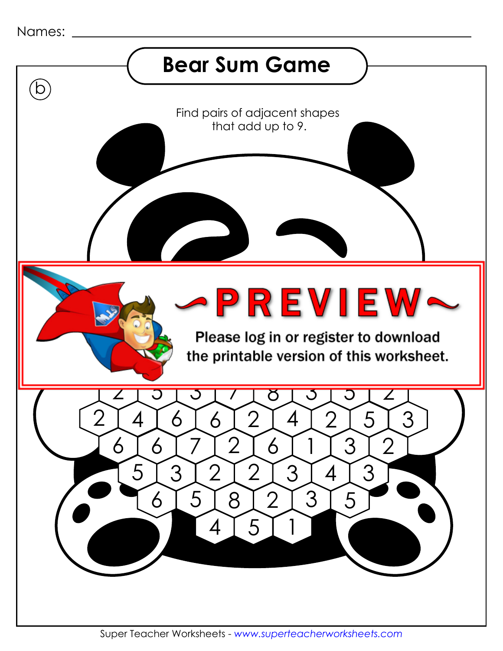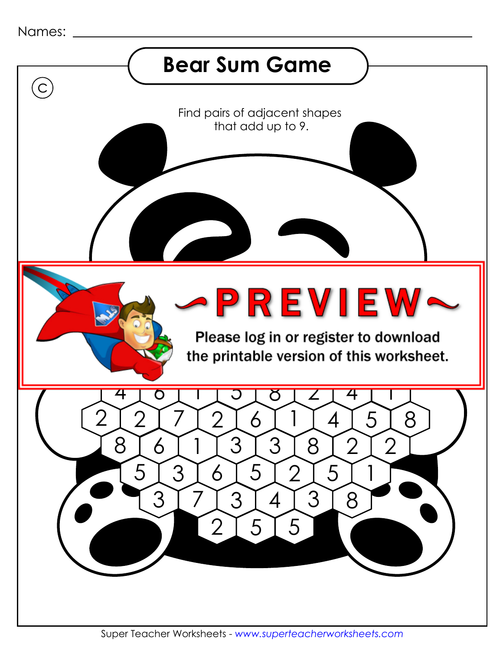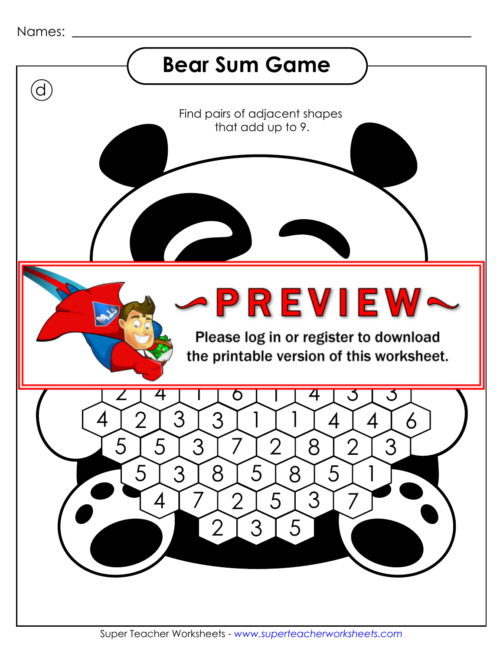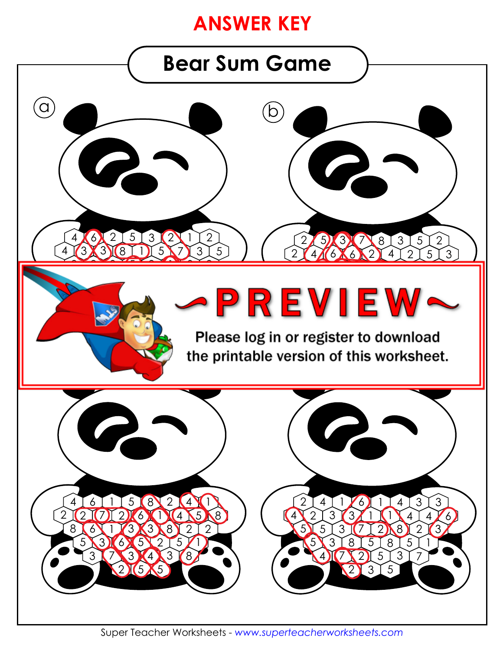# **ANSWER KEY**